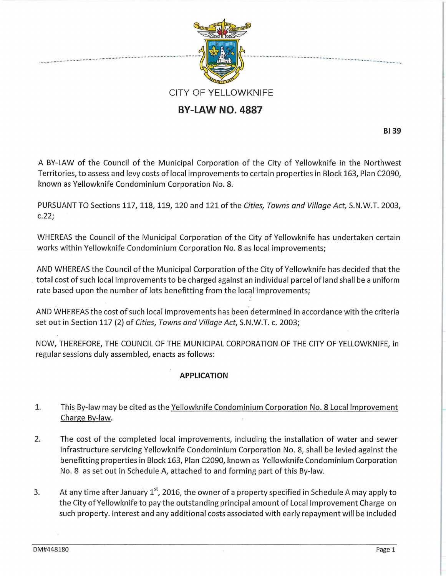

# **BY-LAW NO. 4887**

**8139** 

A BY-LAW of the Council of the Municipal Corporation of the City of Yellowknife in the Northwest Territories, to assess and levy costs of local improvements to certain properties in Block 163, Plan C2090, known as Yellowknife Condominium Corporation No.8.

PURSUANT TO Sections 117, 118, 119, 120 and 121 of the *Cities, Towns and Village Act,* S.N.W.T. 2003, c.22;

WHEREAS the Council of the Municipal Corporation of the City of Yellowknife has undertaken certain works within Yellowknife Condominium Corporation No.8 as local improvements;

AND WHEREAS the Council of the Municipal Corporation of the City of Yellowknife has decided that the total cost of such local improvements to be charged against an individual parcel of land shall be a uniform rate based upon the number of lots benefitting from the local improvements;

AND WHEREAS the cost of such local improvements has been determined in accordance with the criteria set out in Section 117 {2) of *Cities, Towns and Village Act,* S.N.W.T. c. 2003;

NOW, THEREFORE, THE COUNCIL OF THE MUNICIPAL CORPORATION OF THE CITY OF YELLOWKNIFE, in regular sessions duly assembled, enacts as follows:

## **APPLICATION**

- 1. This By-law may be cited as the Yellowknife Condominium Corporation No. 8 Local Improvement Charge By-law.
- 2. The cost of the completed local improvements, including the installation of water and sewer infrastructure servicing Yellowknife Condominium Corporation No.8, shall be levied against the benefitting properties in Block 163, Plan C2090, known as Yellowknife Condominium Corporation No. 8 as set out in Schedule A, attached to and forming part of this By-law.
- 3. At any time after January 1<sup>st</sup>, 2016, the owner of a property specified in Schedule A may apply to the City of Yellowknife to pay the outstanding principal amount of Local Improvement Charge on such property. Interest and any additional costs associated with early repayment will be included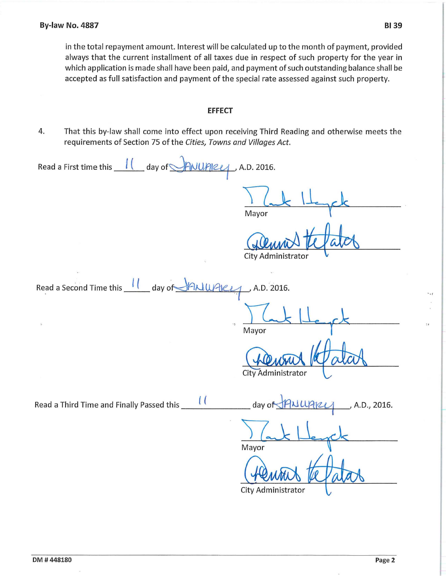in the total repayment amount. Interest will be calculated up to the month of payment, provided always that the current installment of all taxes due in respect of such property for the year in which application is made shall have been paid, and payment of such outstanding balance shall be accepted as full satisfaction and payment of the special rate assessed against such property.

#### **EFFECT**

4. That this by-law shall come into effect upon receiving Third Reading and otherwise meets the requirements of Section 75 of the Cities, Towns and Villages Act.

| Read a First time this 11 day of ANUARLY, A.D. 2016.    |                                                                                                                                                                                                                                                                                                                       |  |
|---------------------------------------------------------|-----------------------------------------------------------------------------------------------------------------------------------------------------------------------------------------------------------------------------------------------------------------------------------------------------------------------|--|
|                                                         | Mayor                                                                                                                                                                                                                                                                                                                 |  |
|                                                         | City Administrator                                                                                                                                                                                                                                                                                                    |  |
|                                                         |                                                                                                                                                                                                                                                                                                                       |  |
| Read a Second Time this 11 day of HALLUARLY, A.D. 2016. |                                                                                                                                                                                                                                                                                                                       |  |
| $\tilde{L}$<br>$\cdot$                                  | Mayor                                                                                                                                                                                                                                                                                                                 |  |
|                                                         | City Administrator                                                                                                                                                                                                                                                                                                    |  |
|                                                         | $\frac{1}{2}$ day of $\frac{1}{2}$ $\frac{1}{2}$ $\frac{1}{2}$ $\frac{1}{2}$ $\frac{1}{2}$ $\frac{1}{2}$ $\frac{1}{2}$ $\frac{1}{2}$ $\frac{1}{2}$ $\frac{1}{2}$ $\frac{1}{2}$ $\frac{1}{2}$ $\frac{1}{2}$ $\frac{1}{2}$ $\frac{1}{2}$ $\frac{1}{2}$ $\frac{1}{2}$ $\frac{1}{2}$ $\frac{1}{2}$ $\frac{1}{2}$ $\frac{$ |  |
|                                                         | Mayor                                                                                                                                                                                                                                                                                                                 |  |
|                                                         | City Administrator                                                                                                                                                                                                                                                                                                    |  |
|                                                         |                                                                                                                                                                                                                                                                                                                       |  |

..,

 $: t$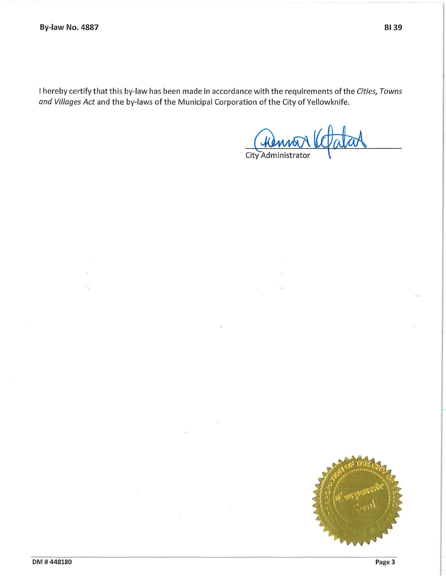I hereby certify that this by-law has been made in accordance with the requirements of the *Cities, Towns and Villages Act* and the by-laws of the Municipal Corporation of the City of Yellowknife.

Fremon Votatas